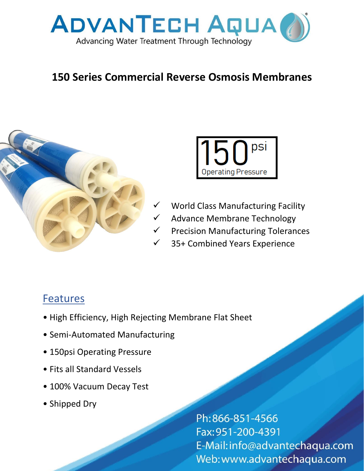

## **150 Series Commercial Reverse Osmosis Membranes**





- World Class Manufacturing Facility
- Advance Membrane Technology
- **Precision Manufacturing Tolerances**
- 35+ Combined Years Experience

## **Features**

- High Efficiency, High Rejecting Membrane Flat Sheet
- Semi-Automated Manufacturing
- 150psi Operating Pressure
- Fits all Standard Vessels
- 100% Vacuum Decay Test
- Shipped Dry

Ph:866-851-4566 Fax: 951-200-4391 E-Mail: info@advantechaqua.com Web: www.advantechaqua.com